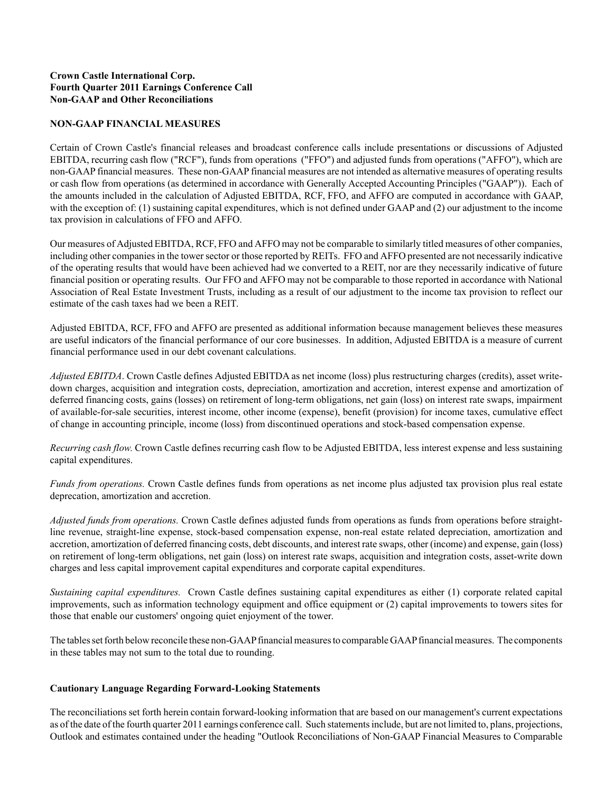# **Crown Castle International Corp. Fourth Quarter 2011 Earnings Conference Call Non-GAAP and Other Reconciliations**

#### **NON-GAAP FINANCIAL MEASURES**

Certain of Crown Castle's financial releases and broadcast conference calls include presentations or discussions of Adjusted EBITDA, recurring cash flow ("RCF"), funds from operations ("FFO") and adjusted funds from operations ("AFFO"), which are non-GAAPfinancial measures. These non-GAAPfinancial measures are not intended as alternative measures of operating results or cash flow from operations (as determined in accordance with Generally Accepted Accounting Principles ("GAAP")). Each of the amounts included in the calculation of Adjusted EBITDA, RCF, FFO, and AFFO are computed in accordance with GAAP, with the exception of: (1) sustaining capital expenditures, which is not defined under GAAP and (2) our adjustment to the income tax provision in calculations of FFO and AFFO.

Our measures of Adjusted EBITDA, RCF, FFO and AFFO may not be comparable to similarly titled measures of other companies, including other companies in the tower sector or those reported by REITs. FFO and AFFO presented are not necessarily indicative of the operating results that would have been achieved had we converted to a REIT, nor are they necessarily indicative of future financial position or operating results. Our FFO and AFFO may not be comparable to those reported in accordance with National Association of Real Estate Investment Trusts, including as a result of our adjustment to the income tax provision to reflect our estimate of the cash taxes had we been a REIT.

Adjusted EBITDA, RCF, FFO and AFFO are presented as additional information because management believes these measures are useful indicators of the financial performance of our core businesses. In addition, Adjusted EBITDA is a measure of current financial performance used in our debt covenant calculations.

*Adjusted EBITDA*. Crown Castle defines Adjusted EBITDA as net income (loss) plus restructuring charges (credits), asset writedown charges, acquisition and integration costs, depreciation, amortization and accretion, interest expense and amortization of deferred financing costs, gains (losses) on retirement of long-term obligations, net gain (loss) on interest rate swaps, impairment of available-for-sale securities, interest income, other income (expense), benefit (provision) for income taxes, cumulative effect of change in accounting principle, income (loss) from discontinued operations and stock-based compensation expense.

*Recurring cash flow.* Crown Castle defines recurring cash flow to be Adjusted EBITDA, less interest expense and less sustaining capital expenditures.

*Funds from operations*. Crown Castle defines funds from operations as net income plus adjusted tax provision plus real estate deprecation, amortization and accretion.

*Adjusted funds from operations.* Crown Castle defines adjusted funds from operations as funds from operations before straightline revenue, straight-line expense, stock-based compensation expense, non-real estate related depreciation, amortization and accretion, amortization of deferred financing costs, debt discounts, and interest rate swaps, other (income) and expense, gain (loss) on retirement of long-term obligations, net gain (loss) on interest rate swaps, acquisition and integration costs, asset-write down charges and less capital improvement capital expenditures and corporate capital expenditures.

*Sustaining capital expenditures.* Crown Castle defines sustaining capital expenditures as either (1) corporate related capital improvements, such as information technology equipment and office equipment or (2) capital improvements to towers sites for those that enable our customers' ongoing quiet enjoyment of the tower.

The tables set forth below reconcile these non-GAAPfinancial measures to comparable GAAPfinancial measures. The components in these tables may not sum to the total due to rounding.

#### **Cautionary Language Regarding Forward-Looking Statements**

The reconciliations set forth herein contain forward-looking information that are based on our management's current expectations as of the date of the fourth quarter 2011 earnings conference call. Such statements include, but are not limited to, plans, projections, Outlook and estimates contained under the heading "Outlook Reconciliations of Non-GAAP Financial Measures to Comparable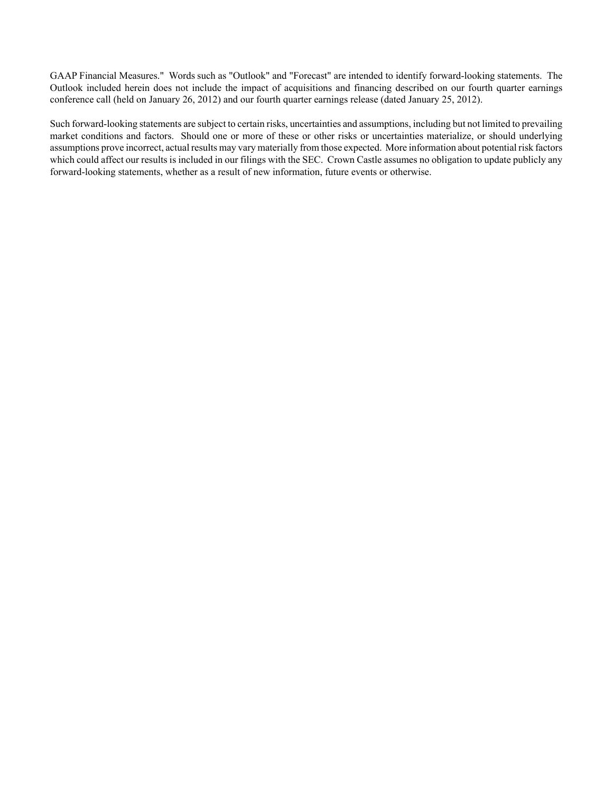GAAP Financial Measures." Words such as "Outlook" and "Forecast" are intended to identify forward-looking statements. The Outlook included herein does not include the impact of acquisitions and financing described on our fourth quarter earnings conference call (held on January 26, 2012) and our fourth quarter earnings release (dated January 25, 2012).

Such forward-looking statements are subject to certain risks, uncertainties and assumptions, including but not limited to prevailing market conditions and factors. Should one or more of these or other risks or uncertainties materialize, or should underlying assumptions prove incorrect, actual results may vary materially from those expected. More information about potential risk factors which could affect our results is included in our filings with the SEC. Crown Castle assumes no obligation to update publicly any forward-looking statements, whether as a result of new information, future events or otherwise.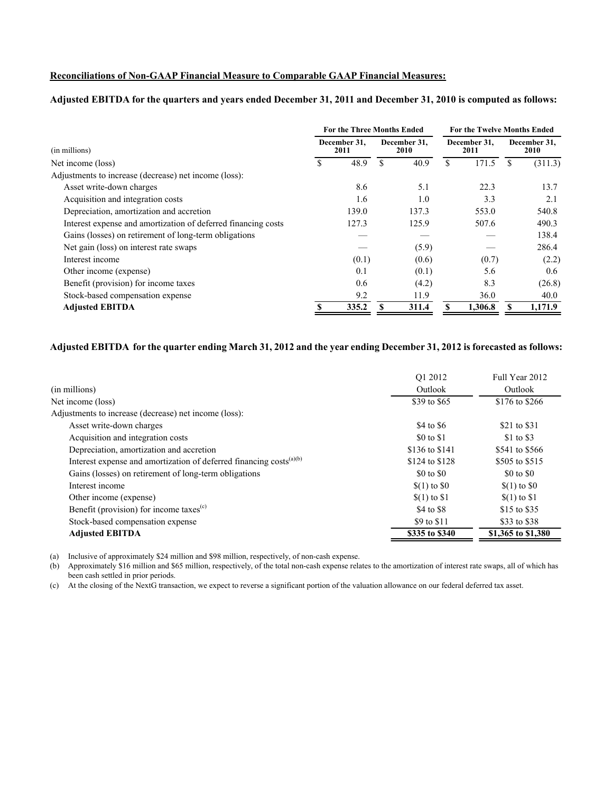#### **Reconciliations of Non-GAAP Financial Measure to Comparable GAAP Financial Measures:**

# **Adjusted EBITDA for the quarters and years ended December 31, 2011 and December 31, 2010 is computed as follows:**

|                                                               |   | <b>For the Three Months Ended</b> |     |                      | <b>For the Twelve Months Ended</b> |         |                             |         |
|---------------------------------------------------------------|---|-----------------------------------|-----|----------------------|------------------------------------|---------|-----------------------------|---------|
| (in millions)                                                 |   | December 31.<br>2011              |     | December 31.<br>2010 | December 31.<br>2011               |         | December 31,<br><b>2010</b> |         |
| Net income (loss)                                             | S | 48.9                              | \$. | 40.9                 | \$                                 | 171.5   |                             | (311.3) |
| Adjustments to increase (decrease) net income (loss):         |   |                                   |     |                      |                                    |         |                             |         |
| Asset write-down charges                                      |   | 8.6                               |     | 5.1                  |                                    | 22.3    |                             | 13.7    |
| Acquisition and integration costs                             |   | 1.6                               |     | 1.0                  |                                    | 3.3     |                             | 2.1     |
| Depreciation, amortization and accretion                      |   | 139.0                             |     | 137.3                |                                    | 553.0   |                             | 540.8   |
| Interest expense and amortization of deferred financing costs |   | 127.3                             |     | 125.9                |                                    | 507.6   |                             | 490.3   |
| Gains (losses) on retirement of long-term obligations         |   |                                   |     |                      |                                    |         |                             | 138.4   |
| Net gain (loss) on interest rate swaps                        |   |                                   |     | (5.9)                |                                    |         |                             | 286.4   |
| Interest income                                               |   | (0.1)                             |     | (0.6)                |                                    | (0.7)   |                             | (2.2)   |
| Other income (expense)                                        |   | 0.1                               |     | (0.1)                |                                    | 5.6     |                             | 0.6     |
| Benefit (provision) for income taxes                          |   | 0.6                               |     | (4.2)                |                                    | 8.3     |                             | (26.8)  |
| Stock-based compensation expense                              |   | 9.2                               |     | 11.9                 |                                    | 36.0    |                             | 40.0    |
| <b>Adjusted EBITDA</b>                                        |   | 335.2                             |     | 311.4                |                                    | 1,306.8 |                             | 1,171.9 |

# **Adjusted EBITDA for the quarter ending March 31, 2012 and the year ending December 31, 2012 is forecasted as follows:**

|                                                                        | O1 2012        | Full Year 2012     |
|------------------------------------------------------------------------|----------------|--------------------|
| (in millions)                                                          | Outlook        | Outlook            |
| Net income (loss)                                                      | \$39 to \$65   | \$176 to \$266     |
| Adjustments to increase (decrease) net income (loss):                  |                |                    |
| Asset write-down charges                                               | \$4 to \$6     | \$21 to \$31       |
| Acquisition and integration costs                                      | \$0 to \$1     | \$1 to \$3         |
| Depreciation, amortization and accretion                               | \$136 to \$141 | \$541 to \$566     |
| Interest expense and amortization of deferred financing costs $(a)(b)$ | \$124 to \$128 | \$505 to \$515     |
| Gains (losses) on retirement of long-term obligations                  | \$0 to \$0     | \$0 to \$0         |
| Interest income                                                        | $(1)$ to $\$0$ | $$(1)$ to $$0$     |
| Other income (expense)                                                 | $(1)$ to \$1   | $(1)$ to \$1       |
| Benefit (provision) for income taxes <sup>(c)</sup>                    | \$4 to \$8     | \$15 to \$35       |
| Stock-based compensation expense                                       | \$9 to \$11    | \$33 to \$38       |
| <b>Adjusted EBITDA</b>                                                 | \$335 to \$340 | \$1,365 to \$1,380 |

(a) Inclusive of approximately \$24 million and \$98 million, respectively, of non-cash expense.

(b) Approximately \$16 million and \$65 million, respectively, of the total non-cash expense relates to the amortization of interest rate swaps, all of which has been cash settled in prior periods.

(c) At the closing of the NextG transaction, we expect to reverse a significant portion of the valuation allowance on our federal deferred tax asset.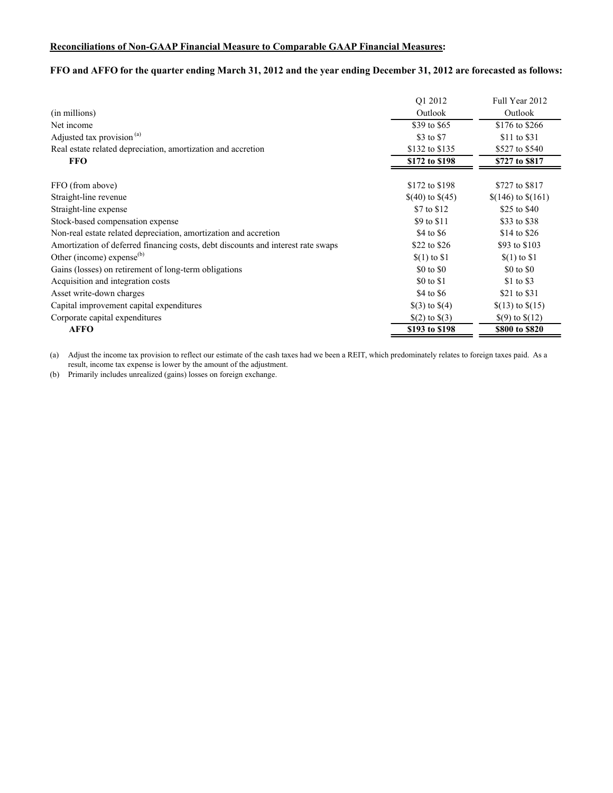# **Reconciliations of Non-GAAP Financial Measure to Comparable GAAP Financial Measures:**

# **FFO and AFFO for the quarter ending March 31, 2012 and the year ending December 31, 2012 are forecasted as follows:**

|                                                                                  | O1 2012            | Full Year 2012       |
|----------------------------------------------------------------------------------|--------------------|----------------------|
| (in millions)                                                                    | Outlook            | Outlook              |
| Net income                                                                       | \$39 to \$65       | \$176 to \$266       |
| Adjusted tax provision <sup>(a)</sup>                                            | \$3 to \$7         | \$11 to \$31         |
| Real estate related depreciation, amortization and accretion                     | \$132 to \$135     | \$527 to \$540       |
| <b>FFO</b>                                                                       | \$172 to \$198     | \$727 to \$817       |
| FFO (from above)                                                                 | \$172 to \$198     | \$727 to \$817       |
| Straight-line revenue                                                            | $$(40)$ to $$(45)$ | $$(146)$ to $$(161)$ |
| Straight-line expense                                                            | \$7 to \$12        | \$25 to \$40         |
| Stock-based compensation expense                                                 | \$9 to \$11        | \$33 to \$38         |
| Non-real estate related depreciation, amortization and accretion                 | \$4 to \$6         | \$14 to \$26         |
| Amortization of deferred financing costs, debt discounts and interest rate swaps | \$22 to \$26       | \$93 to \$103        |
| Other (income) expense $^{(b)}$                                                  | $(1)$ to \$1       | $(1)$ to \$1         |
| Gains (losses) on retirement of long-term obligations                            | \$0 to \$0         | \$0 to \$0           |
| Acquisition and integration costs                                                | \$0 to \$1         | \$1 to \$3           |
| Asset write-down charges                                                         | \$4 to \$6         | \$21 to \$31         |
| Capital improvement capital expenditures                                         | $\$(3)$ to $\$(4)$ | $$(13)$ to $$(15)$   |
| Corporate capital expenditures                                                   | $(2)$ to $(3)$     | $\$(9)$ to $\$(12)$  |
| <b>AFFO</b>                                                                      | \$193 to \$198     | \$800 to \$820       |

(a) Adjust the income tax provision to reflect our estimate of the cash taxes had we been a REIT, which predominately relates to foreign taxes paid. As a result, income tax expense is lower by the amount of the adjustment.

(b) Primarily includes unrealized (gains) losses on foreign exchange.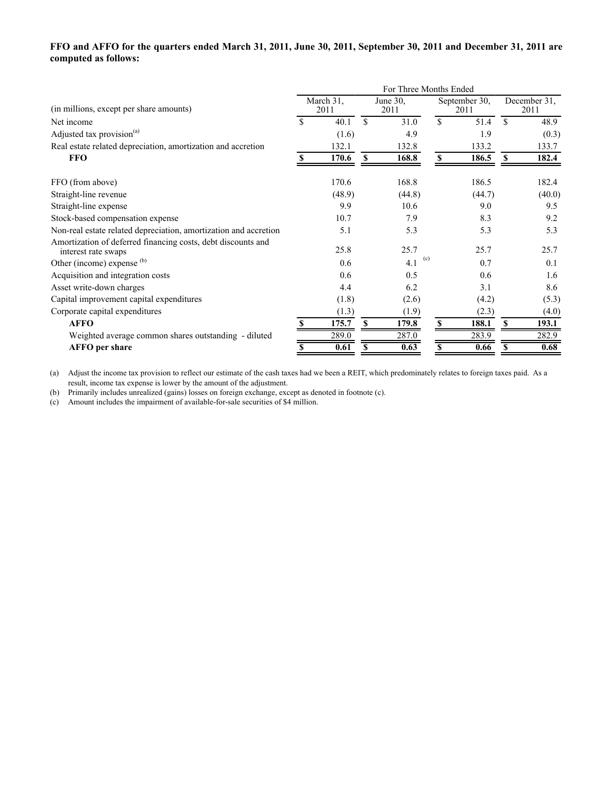# **FFO and AFFO for the quarters ended March 31, 2011, June 30, 2011, September 30, 2011 and December 31, 2011 are computed as follows:**

|                                                                                     | For Three Months Ended |                   |                  |            |               |                       |                      |        |  |  |  |  |
|-------------------------------------------------------------------------------------|------------------------|-------------------|------------------|------------|---------------|-----------------------|----------------------|--------|--|--|--|--|
| (in millions, except per share amounts)                                             |                        | March 31.<br>2011 | June 30.<br>2011 |            |               | September 30,<br>2011 | December 31,<br>2011 |        |  |  |  |  |
| Net income                                                                          | \$                     | 40.1              | $\mathbf{s}$     | 31.0       | \$            | 51.4                  | $\mathbf{\hat{S}}$   | 48.9   |  |  |  |  |
| Adjusted tax provision <sup>(a)</sup>                                               |                        | (1.6)             |                  | 4.9        |               | 1.9                   |                      | (0.3)  |  |  |  |  |
| Real estate related depreciation, amortization and accretion                        |                        | 132.1             |                  | 132.8      |               | 133.2                 |                      | 133.7  |  |  |  |  |
| <b>FFO</b>                                                                          |                        | 170.6             | S                | 168.8      | \$            | 186.5                 | <b>S</b>             | 182.4  |  |  |  |  |
| FFO (from above)                                                                    |                        | 170.6             |                  | 168.8      |               | 186.5                 |                      | 182.4  |  |  |  |  |
| Straight-line revenue                                                               |                        | (48.9)            |                  | (44.8)     |               | (44.7)                |                      | (40.0) |  |  |  |  |
| Straight-line expense                                                               |                        | 9.9               |                  | 10.6       |               | 9.0                   |                      | 9.5    |  |  |  |  |
| Stock-based compensation expense                                                    |                        | 10.7              |                  | 7.9        |               | 8.3                   |                      | 9.2    |  |  |  |  |
| Non-real estate related depreciation, amortization and accretion                    |                        | 5.1               |                  | 5.3        |               | 5.3                   |                      | 5.3    |  |  |  |  |
| Amortization of deferred financing costs, debt discounts and<br>interest rate swaps |                        | 25.8              |                  | 25.7       |               | 25.7                  |                      | 25.7   |  |  |  |  |
| Other (income) expense (b)                                                          |                        | 0.6               |                  | (c)<br>4.1 |               | 0.7                   |                      | 0.1    |  |  |  |  |
| Acquisition and integration costs                                                   |                        | 0.6               |                  | 0.5        |               | 0.6                   |                      | 1.6    |  |  |  |  |
| Asset write-down charges                                                            |                        | 4.4               |                  | 6.2        |               | 3.1                   |                      | 8.6    |  |  |  |  |
| Capital improvement capital expenditures                                            |                        | (1.8)             |                  | (2.6)      |               | (4.2)                 |                      | (5.3)  |  |  |  |  |
| Corporate capital expenditures                                                      |                        | (1.3)             |                  | (1.9)      |               | (2.3)                 |                      | (4.0)  |  |  |  |  |
| <b>AFFO</b>                                                                         | S.                     | 175.7             | S                | 179.8      | <sup>\$</sup> | 188.1                 | <sup>\$</sup>        | 193.1  |  |  |  |  |
| Weighted average common shares outstanding - diluted                                |                        | 289.0             |                  | 287.0      |               | 283.9                 |                      | 282.9  |  |  |  |  |
| <b>AFFO</b> per share                                                               |                        | 0.61              | \$               | 0.63       |               | 0.66                  |                      | 0.68   |  |  |  |  |

(a) Adjust the income tax provision to reflect our estimate of the cash taxes had we been a REIT, which predominately relates to foreign taxes paid. As a result, income tax expense is lower by the amount of the adjustment.

(b) Primarily includes unrealized (gains) losses on foreign exchange, except as denoted in footnote (c).

(c) Amount includes the impairment of available-for-sale securities of \$4 million.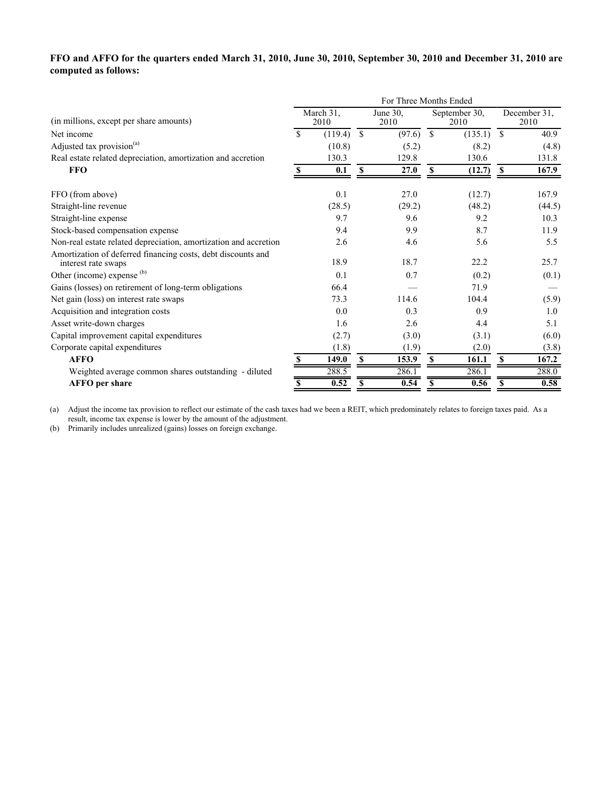# **FFO and AFFO for the quarters ended March 31, 2010, June 30, 2010, September 30, 2010 and December 31, 2010 are computed as follows:**

|                                                                                     | For Three Months Ended |         |               |                  |                       |         |               |                      |  |  |  |  |
|-------------------------------------------------------------------------------------|------------------------|---------|---------------|------------------|-----------------------|---------|---------------|----------------------|--|--|--|--|
| (in millions, except per share amounts)                                             | March 31.<br>2010      |         |               | June 30,<br>2010 | September 30,<br>2010 |         |               | December 31,<br>2010 |  |  |  |  |
| Net income                                                                          | \$.                    | (119.4) | $\mathcal{S}$ | (97.6)           | <sup>\$</sup>         | (135.1) | <sup>\$</sup> | 40.9                 |  |  |  |  |
| Adjusted tax provision <sup>(a)</sup>                                               |                        | (10.8)  |               | (5.2)            |                       | (8.2)   |               | (4.8)                |  |  |  |  |
| Real estate related depreciation, amortization and accretion                        |                        | 130.3   |               | 129.8            |                       | 130.6   |               | 131.8                |  |  |  |  |
| <b>FFO</b>                                                                          | S                      | 0.1     | S             | 27.0             | S                     | (12.7)  | \$            | 167.9                |  |  |  |  |
| FFO (from above)                                                                    |                        | 0.1     |               | 27.0             |                       | (12.7)  |               | 167.9                |  |  |  |  |
| Straight-line revenue                                                               |                        | (28.5)  |               | (29.2)           |                       | (48.2)  |               | (44.5)               |  |  |  |  |
| Straight-line expense                                                               |                        | 9.7     |               | 9.6              |                       | 9.2     |               | 10.3                 |  |  |  |  |
| Stock-based compensation expense                                                    |                        | 9.4     |               | 9.9              |                       | 8.7     |               | 11.9                 |  |  |  |  |
| Non-real estate related depreciation, amortization and accretion                    |                        | 2.6     |               | 4.6              |                       | 5.6     |               | 5.5                  |  |  |  |  |
| Amortization of deferred financing costs, debt discounts and<br>interest rate swaps |                        | 18.9    |               | 18.7             |                       | 22.2    |               | 25.7                 |  |  |  |  |
| Other (income) expense (b)                                                          |                        | 0.1     |               | 0.7              |                       | (0.2)   |               | (0.1)                |  |  |  |  |
| Gains (losses) on retirement of long-term obligations                               |                        | 66.4    |               |                  |                       | 71.9    |               |                      |  |  |  |  |
| Net gain (loss) on interest rate swaps                                              |                        | 73.3    |               | 114.6            |                       | 104.4   |               | (5.9)                |  |  |  |  |
| Acquisition and integration costs                                                   |                        | 0.0     |               | 0.3              |                       | 0.9     |               | 1.0                  |  |  |  |  |
| Asset write-down charges                                                            |                        | 1.6     |               | 2.6              |                       | 4.4     |               | 5.1                  |  |  |  |  |
| Capital improvement capital expenditures                                            |                        | (2.7)   |               | (3.0)            |                       | (3.1)   |               | (6.0)                |  |  |  |  |
| Corporate capital expenditures                                                      |                        | (1.8)   |               | (1.9)            |                       | (2.0)   |               | (3.8)                |  |  |  |  |
| <b>AFFO</b>                                                                         | S                      | 149.0   | S             | 153.9            | S                     | 161.1   | \$            | 167.2                |  |  |  |  |
| Weighted average common shares outstanding - diluted                                |                        | 288.5   |               | 286.1            |                       | 286.1   |               | 288.0                |  |  |  |  |
| <b>AFFO</b> per share                                                               | \$                     | 0.52    | S             | 0.54             | S                     | 0.56    | S             | 0.58                 |  |  |  |  |

(a) Adjust the income tax provision to reflect our estimate of the cash taxes had we been a REIT, which predominately relates to foreign taxes paid. As a result, income tax expense is lower by the amount of the adjustment.

(b) Primarily includes unrealized (gains) losses on foreign exchange.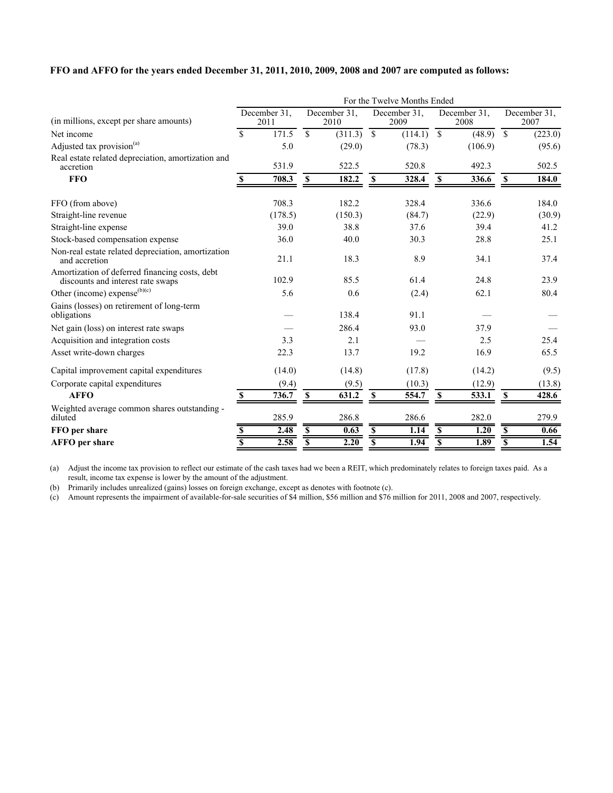# **FFO and AFFO for the years ended December 31, 2011, 2010, 2009, 2008 and 2007 are computed as follows:**

|                                                                                     | For the Twelve Months Ended |         |                         |                      |                          |         |                          |         |                          |         |  |  |
|-------------------------------------------------------------------------------------|-----------------------------|---------|-------------------------|----------------------|--------------------------|---------|--------------------------|---------|--------------------------|---------|--|--|
| (in millions, except per share amounts)                                             | December 31,<br>2011        |         |                         | December 31,<br>2010 | December 31,<br>2009     |         | December 31,<br>2008     |         | December 31,<br>2007     |         |  |  |
| Net income                                                                          | \$                          | 171.5   | $\mathbb{S}$            | (311.3)              | $\overline{\mathcal{S}}$ | (114.1) | $\overline{\mathcal{S}}$ | (48.9)  | $\overline{\mathcal{S}}$ | (223.0) |  |  |
| Adjusted tax provision <sup>(a)</sup>                                               |                             | 5.0     |                         | (29.0)               |                          | (78.3)  |                          | (106.9) |                          | (95.6)  |  |  |
| Real estate related depreciation, amortization and<br>accretion                     |                             | 531.9   |                         | 522.5                |                          | 520.8   |                          | 492.3   |                          | 502.5   |  |  |
| <b>FFO</b>                                                                          | <sup>\$</sup>               | 708.3   | $\mathbf{s}$            | 182.2                | <b>S</b>                 | 328.4   | $\mathbf{s}$             | 336.6   | <b>S</b>                 | 184.0   |  |  |
| FFO (from above)                                                                    |                             | 708.3   |                         | 182.2                |                          | 328.4   |                          | 336.6   |                          | 184.0   |  |  |
| Straight-line revenue                                                               |                             | (178.5) |                         | (150.3)              |                          | (84.7)  |                          | (22.9)  |                          | (30.9)  |  |  |
| Straight-line expense                                                               |                             | 39.0    |                         | 38.8                 |                          | 37.6    |                          | 39.4    |                          | 41.2    |  |  |
| Stock-based compensation expense                                                    |                             | 36.0    |                         | 40.0                 |                          | 30.3    |                          | 28.8    |                          | 25.1    |  |  |
| Non-real estate related depreciation, amortization<br>and accretion                 |                             | 21.1    |                         | 18.3                 |                          | 8.9     |                          | 34.1    |                          | 37.4    |  |  |
| Amortization of deferred financing costs, debt<br>discounts and interest rate swaps |                             | 102.9   |                         | 85.5                 |                          | 61.4    |                          | 24.8    |                          | 23.9    |  |  |
| Other (income) expense $(b)(c)$                                                     |                             | 5.6     |                         | 0.6                  |                          | (2.4)   |                          | 62.1    |                          | 80.4    |  |  |
| Gains (losses) on retirement of long-term<br>obligations                            |                             |         |                         | 138.4                |                          | 91.1    |                          |         |                          |         |  |  |
| Net gain (loss) on interest rate swaps                                              |                             |         |                         | 286.4                |                          | 93.0    |                          | 37.9    |                          |         |  |  |
| Acquisition and integration costs                                                   |                             | 3.3     |                         | 2.1                  |                          |         |                          | 2.5     |                          | 25.4    |  |  |
| Asset write-down charges                                                            |                             | 22.3    |                         | 13.7                 |                          | 19.2    |                          | 16.9    |                          | 65.5    |  |  |
| Capital improvement capital expenditures                                            |                             | (14.0)  |                         | (14.8)               |                          | (17.8)  |                          | (14.2)  |                          | (9.5)   |  |  |
| Corporate capital expenditures                                                      |                             | (9.4)   |                         | (9.5)                |                          | (10.3)  |                          | (12.9)  |                          | (13.8)  |  |  |
| <b>AFFO</b>                                                                         | $\mathbf{s}$                | 736.7   | $\mathbb S$             | 631.2                | $\mathbf{s}$             | 554.7   | $\mathbf S$              | 533.1   | $\mathbf{s}$             | 428.6   |  |  |
| Weighted average common shares outstanding -<br>diluted                             |                             | 285.9   |                         | 286.8                |                          | 286.6   |                          | 282.0   |                          | 279.9   |  |  |
| FFO per share                                                                       |                             | 2.48    | S                       | 0.63                 | S                        | 1.14    | $\overline{\mathbf{s}}$  | 1.20    | S                        | 0.66    |  |  |
| <b>AFFO</b> per share                                                               | $\overline{\mathbf{s}}$     | 2.58    | $\overline{\mathbf{s}}$ | 2.20                 | $\overline{\mathbf{s}}$  | 1.94    | $\overline{\$}$          | 1.89    | $\overline{\mathbf{s}}$  | 1.54    |  |  |

(a) Adjust the income tax provision to reflect our estimate of the cash taxes had we been a REIT, which predominately relates to foreign taxes paid. As a result, income tax expense is lower by the amount of the adjustment.

(b) Primarily includes unrealized (gains) losses on foreign exchange, except as denotes with footnote (c).

(c) Amount represents the impairment of available-for-sale securities of \$4 million, \$56 million and \$76 million for 2011, 2008 and 2007, respectively.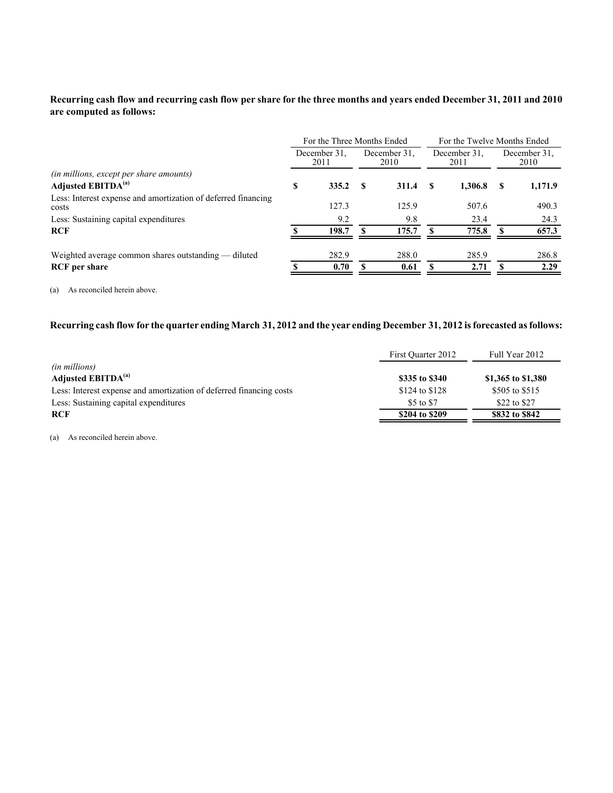# **Recurring cash flow and recurring cash flow per share for the three months and years ended December 31, 2011 and 2010 are computed as follows:**

|                                                                           | For the Three Months Ended<br>December 31.<br>December 31.<br>December 31.<br>2011<br>2010<br>2011<br>335.2<br>S<br>1.306.8<br>- \$<br>311.4<br>-S |       |  |       |  |       | For the Twelve Months Ended |         |  |  |
|---------------------------------------------------------------------------|----------------------------------------------------------------------------------------------------------------------------------------------------|-------|--|-------|--|-------|-----------------------------|---------|--|--|
|                                                                           |                                                                                                                                                    |       |  |       |  |       | December 31.<br>2010        |         |  |  |
| (in millions, except per share amounts)<br>Adjusted EBITDA <sup>(a)</sup> |                                                                                                                                                    |       |  |       |  |       | S                           | 1,171.9 |  |  |
| Less: Interest expense and amortization of deferred financing<br>costs    |                                                                                                                                                    | 127.3 |  | 125.9 |  | 507.6 |                             | 490.3   |  |  |
| Less: Sustaining capital expenditures                                     |                                                                                                                                                    | 9.2   |  | 9.8   |  | 23.4  |                             | 24.3    |  |  |
| RCF                                                                       |                                                                                                                                                    | 198.7 |  | 175.7 |  | 775.8 |                             | 657.3   |  |  |
| Weighted average common shares outstanding — diluted                      |                                                                                                                                                    | 282.9 |  | 288.0 |  | 285.9 |                             | 286.8   |  |  |
| <b>RCF</b> per share                                                      |                                                                                                                                                    | 0.70  |  | 0.61  |  | 2.71  |                             | 2.29    |  |  |

(a) As reconciled herein above.

# **Recurring cash flow for the quarter ending March 31, 2012 and the year ending December 31, 2012 is forecasted as follows:**

|                                                                     | First Ouarter 2012 | Full Year 2012     |
|---------------------------------------------------------------------|--------------------|--------------------|
| <i>(in millions)</i>                                                |                    |                    |
| Adjusted EBITDA <sup>(a)</sup>                                      | \$335 to \$340     | \$1,365 to \$1,380 |
| Less: Interest expense and amortization of deferred financing costs | \$124 to \$128     | \$505 to \$515     |
| Less: Sustaining capital expenditures                               | \$5 to \$7         | \$22 to \$27       |
| <b>RCF</b>                                                          | \$204 to \$209     | \$832 to \$842     |

(a) As reconciled herein above.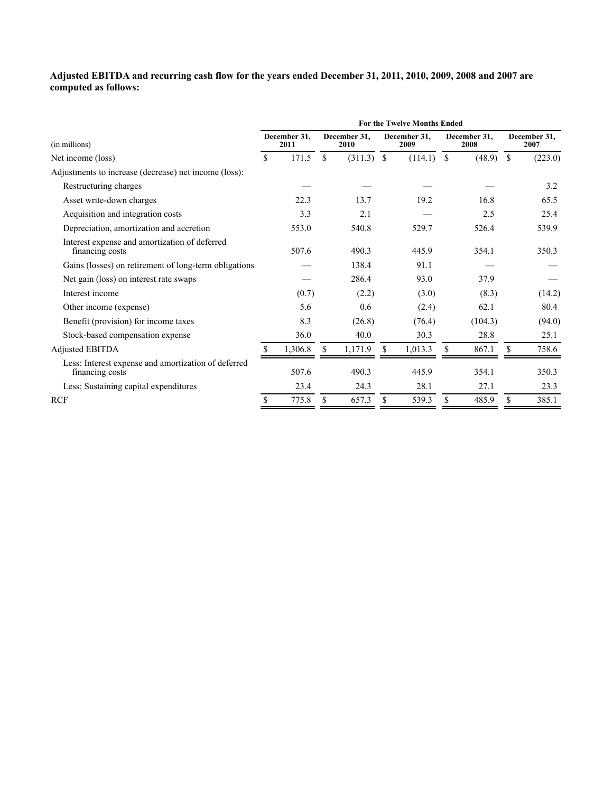#### **Adjusted EBITDA and recurring cash flow for the years ended December 31, 2011, 2010, 2009, 2008 and 2007 are computed as follows:**

|                                                                        | <b>For the Twelve Months Ended</b> |                      |                      |              |    |                      |               |                      |               |                      |  |  |  |
|------------------------------------------------------------------------|------------------------------------|----------------------|----------------------|--------------|----|----------------------|---------------|----------------------|---------------|----------------------|--|--|--|
| (in millions)                                                          |                                    | December 31.<br>2011 | December 31.<br>2010 |              |    | December 31,<br>2009 |               | December 31.<br>2008 |               | December 31,<br>2007 |  |  |  |
| Net income (loss)                                                      | \$.                                | 171.5                | <sup>\$</sup>        | $(311.3)$ \$ |    | (114.1)              | <sup>\$</sup> | (48.9)               | <sup>\$</sup> | (223.0)              |  |  |  |
| Adjustments to increase (decrease) net income (loss):                  |                                    |                      |                      |              |    |                      |               |                      |               |                      |  |  |  |
| Restructuring charges                                                  |                                    |                      |                      |              |    |                      |               |                      |               | 3.2                  |  |  |  |
| Asset write-down charges                                               |                                    | 22.3                 |                      | 13.7         |    | 19.2                 |               | 16.8                 |               | 65.5                 |  |  |  |
| Acquisition and integration costs                                      |                                    | 3.3                  |                      | 2.1          |    |                      |               | 2.5                  |               | 25.4                 |  |  |  |
| Depreciation, amortization and accretion                               |                                    | 553.0                |                      | 540.8        |    | 529.7                |               | 526.4                |               | 539.9                |  |  |  |
| Interest expense and amortization of deferred<br>financing costs       |                                    | 507.6                |                      | 490.3        |    | 445.9                |               | 354.1                |               | 350.3                |  |  |  |
| Gains (losses) on retirement of long-term obligations                  |                                    |                      |                      | 138.4        |    | 91.1                 |               |                      |               |                      |  |  |  |
| Net gain (loss) on interest rate swaps                                 |                                    |                      |                      | 286.4        |    | 93.0                 |               | 37.9                 |               |                      |  |  |  |
| Interest income                                                        |                                    | (0.7)                |                      | (2.2)        |    | (3.0)                |               | (8.3)                |               | (14.2)               |  |  |  |
| Other income (expense)                                                 |                                    | 5.6                  |                      | 0.6          |    | (2.4)                |               | 62.1                 |               | 80.4                 |  |  |  |
| Benefit (provision) for income taxes                                   |                                    | 8.3                  |                      | (26.8)       |    | (76.4)               |               | (104.3)              |               | (94.0)               |  |  |  |
| Stock-based compensation expense                                       |                                    | 36.0                 |                      | 40.0         |    | 30.3                 |               | 28.8                 |               | 25.1                 |  |  |  |
| Adjusted EBITDA                                                        |                                    | 1,306.8              |                      | 1,171.9      | \$ | 1,013.3              | \$            | 867.1                | \$            | 758.6                |  |  |  |
| Less: Interest expense and amortization of deferred<br>financing costs |                                    | 507.6                |                      | 490.3        |    | 445.9                |               | 354.1                |               | 350.3                |  |  |  |
| Less: Sustaining capital expenditures                                  |                                    | 23.4                 |                      | 24.3         |    | 28.1                 |               | 27.1                 |               | 23.3                 |  |  |  |
| <b>RCF</b>                                                             | S                                  | 775.8                | \$                   | 657.3        |    | 539.3                | \$            | 485.9                | \$            | 385.1                |  |  |  |
|                                                                        |                                    |                      |                      |              |    |                      |               |                      |               |                      |  |  |  |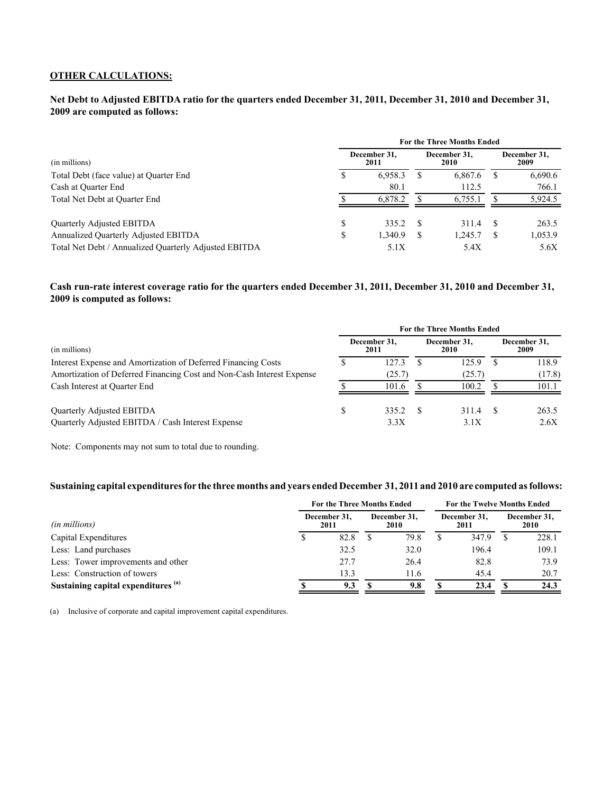#### **OTHER CALCULATIONS:**

#### **Net Debt to Adjusted EBITDA ratio for the quarters ended December 31, 2011, December 31, 2010 and December 31, 2009 are computed as follows:**

|                                                       | <b>For the Three Months Ended</b> |                      |    |                      |                      |         |  |  |  |  |
|-------------------------------------------------------|-----------------------------------|----------------------|----|----------------------|----------------------|---------|--|--|--|--|
| (in millions)                                         |                                   | December 31,<br>2011 |    | December 31,<br>2010 | December 31,<br>2009 |         |  |  |  |  |
| Total Debt (face value) at Quarter End                |                                   | 6.958.3              | Ж  | 6,867.6              |                      | 6,690.6 |  |  |  |  |
| Cash at Ouarter End                                   |                                   | 80.1                 |    | 112.5                |                      | 766.1   |  |  |  |  |
| Total Net Debt at Quarter End                         |                                   | 6.878.2              |    | 6,755.1              |                      | 5,924.5 |  |  |  |  |
| Quarterly Adjusted EBITDA                             |                                   | 335.2                | -S | 311.4                |                      | 263.5   |  |  |  |  |
| Annualized Quarterly Adjusted EBITDA                  |                                   | 1,340.9              | S  | 1,245.7              |                      | 1,053.9 |  |  |  |  |
| Total Net Debt / Annualized Quarterly Adjusted EBITDA |                                   | 5.1X                 |    | 5.4X                 |                      | 5.6X    |  |  |  |  |

#### **Cash run-rate interest coverage ratio for the quarters ended December 31, 2011, December 31, 2010 and December 31, 2009 is computed as follows:**

|                                                                       | <b>For the Three Months Ended</b> |                      |  |                      |                      |        |  |  |  |  |  |
|-----------------------------------------------------------------------|-----------------------------------|----------------------|--|----------------------|----------------------|--------|--|--|--|--|--|
| (in millions)                                                         |                                   | December 31,<br>2011 |  | December 31.<br>2010 | December 31.<br>2009 |        |  |  |  |  |  |
| Interest Expense and Amortization of Deferred Financing Costs         |                                   | 127.3                |  | 125.9                |                      | 118.9  |  |  |  |  |  |
| Amortization of Deferred Financing Cost and Non-Cash Interest Expense |                                   | (25.7)               |  | (25.7)               |                      | (17.8) |  |  |  |  |  |
| Cash Interest at Quarter End                                          |                                   | 101.6                |  | 100.2                |                      | 101.1  |  |  |  |  |  |
| Quarterly Adjusted EBITDA                                             |                                   | 335.2                |  | 311.4                |                      | 263.5  |  |  |  |  |  |
| Quarterly Adjusted EBITDA / Cash Interest Expense                     |                                   | 3.3X                 |  | 3.1X                 |                      | 2.6X   |  |  |  |  |  |

Note: Components may not sum to total due to rounding.

#### **Sustaining capital expenditures for the three months and years ended December 31, 2011 and 2010 are computed as follows:**

|                                                | <b>For the Three Months Ended</b> |  |      |                      |       |                      | <b>For the Twelve Months Ended</b> |  |  |  |  |
|------------------------------------------------|-----------------------------------|--|------|----------------------|-------|----------------------|------------------------------------|--|--|--|--|
| (in millions)                                  | December 31,<br>2011              |  |      | December 31.<br>2011 |       | December 31,<br>2010 |                                    |  |  |  |  |
| Capital Expenditures                           | 82.8                              |  | 79.8 |                      | 347.9 |                      | 228.1                              |  |  |  |  |
| Less: Land purchases                           | 32.5                              |  | 32.0 |                      | 196.4 |                      | 109.1                              |  |  |  |  |
| Less: Tower improvements and other             | 27.7                              |  | 26.4 |                      | 82.8  |                      | 73.9                               |  |  |  |  |
| Less: Construction of towers                   | 13.3                              |  | 11.6 |                      | 45.4  |                      | 20.7                               |  |  |  |  |
| Sustaining capital expenditures <sup>(a)</sup> | 9.3                               |  | 9.8  |                      | 23.4  |                      | 24.3                               |  |  |  |  |

(a) Inclusive of corporate and capital improvement capital expenditures.